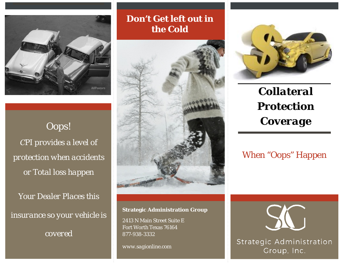

*Oops! CPI provides a level of protection when accidents or Total loss happen*

*Your Dealer Places this insurance so your vehicle is covered*

**Don't Get left out in the Cold**



**Strategic Administration Group**

2413 N Main Street Suite E Fort Worth Texas 76164 877-938-3332

*www.sagionline.com*



*Collateral Protection Coverage*

## When "Oops" Happen



Strategic Administration Group, Inc.